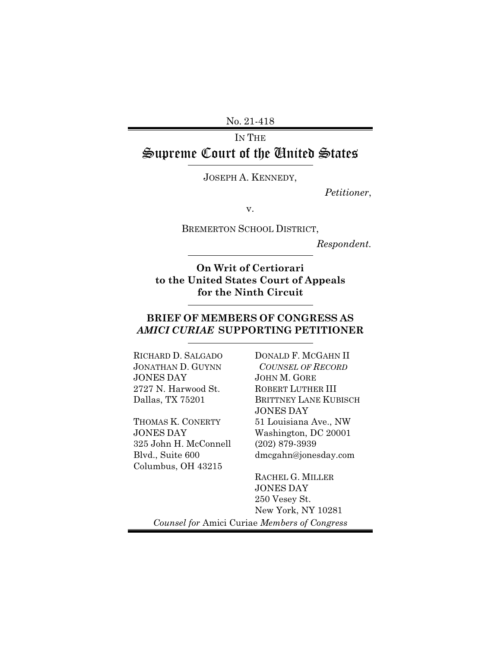No. 21-418

## IN THE Supreme Court of the United States

JOSEPH A. KENNEDY,

*Petitioner*,

v.

BREMERTON SCHOOL DISTRICT,

*Respondent.* 

**On Writ of Certiorari to the United States Court of Appeals for the Ninth Circuit** 

### **BRIEF OF MEMBERS OF CONGRESS AS**  *AMICI CURIAE* **SUPPORTING PETITIONER**

RICHARD D. SALGADO JONATHAN D. GUYNN JONES DAY 2727 N. Harwood St. Dallas, TX 75201

THOMAS K. CONERTY JONES DAY 325 John H. McConnell Blvd., Suite 600 Columbus, OH 43215

DONALD F. MCGAHN II *COUNSEL OF RECORD* JOHN M. GORE ROBERT LUTHER III BRITTNEY LANE KUBISCH JONES DAY 51 Louisiana Ave., NW Washington, DC 20001 (202) 879-3939 dmcgahn@jonesday.com

RACHEL G. MILLER JONES DAY 250 Vesey St. New York, NY 10281 *Counsel for* Amici Curiae *Members of Congress*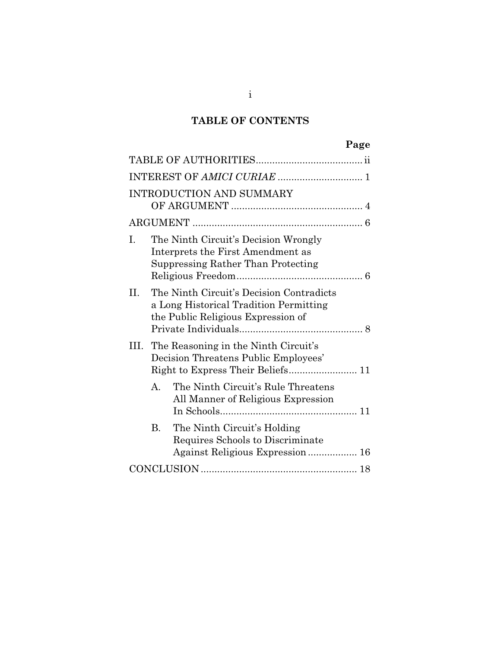# **TABLE OF CONTENTS**

| . .<br>۰. |
|-----------|
|-----------|

|                | <b>INTRODUCTION AND SUMMARY</b>                                                                                          |
|----------------|--------------------------------------------------------------------------------------------------------------------------|
|                |                                                                                                                          |
| I.             | The Ninth Circuit's Decision Wrongly<br>Interprets the First Amendment as<br>Suppressing Rather Than Protecting          |
| II.            | The Ninth Circuit's Decision Contradicts<br>a Long Historical Tradition Permitting<br>the Public Religious Expression of |
| HL.            | The Reasoning in the Ninth Circuit's<br>Decision Threatens Public Employees'                                             |
| $\mathbf{A}$ . | The Ninth Circuit's Rule Threatens<br>All Manner of Religious Expression                                                 |
| <b>B.</b>      | The Ninth Circuit's Holding<br>Requires Schools to Discriminate<br>Against Religious Expression 16                       |
|                |                                                                                                                          |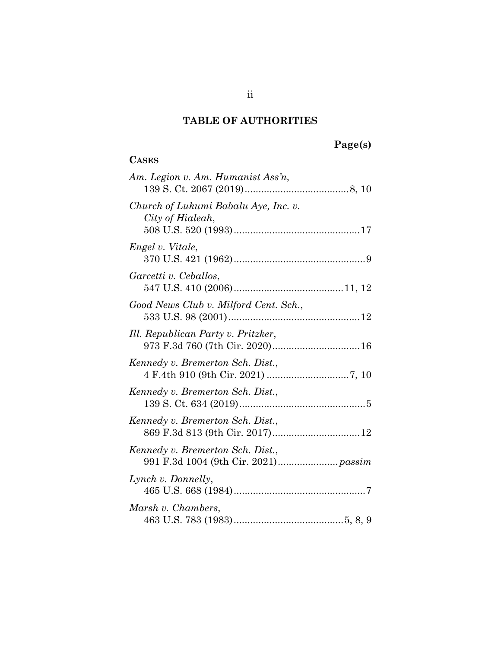# **TABLE OF AUTHORITIES**

# **Page(s)**

| <b>CASES</b>                                             |
|----------------------------------------------------------|
| Am. Legion v. Am. Humanist Ass'n,                        |
| Church of Lukumi Babalu Aye, Inc. v.<br>City of Hialeah, |
| Engel v. Vitale,                                         |
| Garcetti v. Ceballos,                                    |
| Good News Club v. Milford Cent. Sch.,                    |
| Ill. Republican Party v. Pritzker,                       |
| Kennedy v. Bremerton Sch. Dist.,                         |
| Kennedy v. Bremerton Sch. Dist.,                         |
| Kennedy v. Bremerton Sch. Dist.,                         |
| Kennedy v. Bremerton Sch. Dist.,                         |
| Lynch v. Donnelly,                                       |
| Marsh v. Chambers,                                       |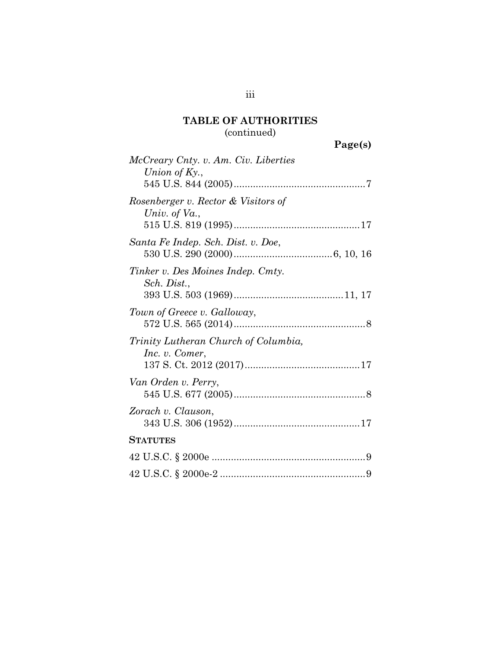# **TABLE OF AUTHORITIES**

# (continued)

| Page(s) |
|---------|
|---------|

| McCreary Cnty. v. Am. Civ. Liberties                   |
|--------------------------------------------------------|
| Union of $Ky.$ ,                                       |
|                                                        |
| Rosenberger v. Rector & Visitors of<br>Univ. of Va.,   |
| Santa Fe Indep. Sch. Dist. v. Doe,                     |
| Tinker v. Des Moines Indep. Cmty.<br>Sch. Dist.,       |
| Town of Greece v. Galloway,                            |
| Trinity Lutheran Church of Columbia,<br>Inc. v. Comer, |
| Van Orden v. Perry,                                    |
| Zorach v. Clauson,                                     |
| <b>STATUTES</b>                                        |
|                                                        |
|                                                        |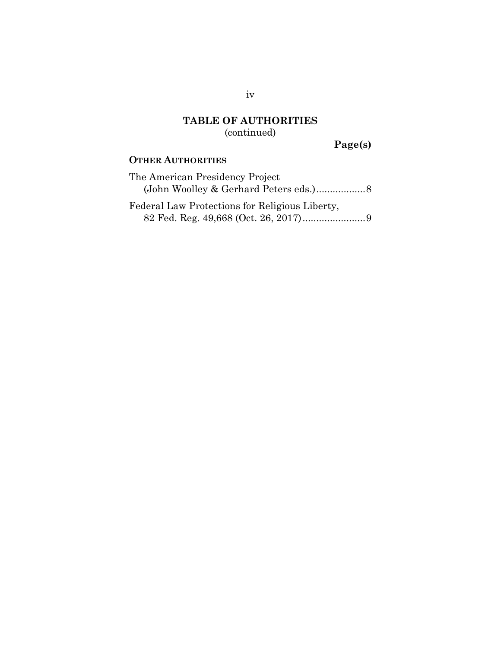### **TABLE OF AUTHORITIES** (continued)

**Page(s)**

### **OTHER AUTHORITIES**

| The American Presidency Project                |  |
|------------------------------------------------|--|
|                                                |  |
| Federal Law Protections for Religious Liberty, |  |

82 Fed. Reg. 49,668 (Oct. 26, 2017) ....................... 9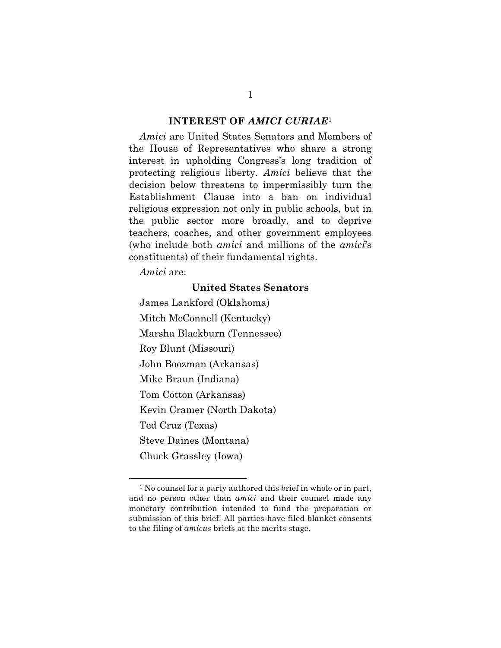#### **INTEREST OF** *AMICI CURIAE*<sup>1</sup>

*Amici* are United States Senators and Members of the House of Representatives who share a strong interest in upholding Congress's long tradition of protecting religious liberty. *Amici* believe that the decision below threatens to impermissibly turn the Establishment Clause into a ban on individual religious expression not only in public schools, but in the public sector more broadly, and to deprive teachers, coaches, and other government employees (who include both *amici* and millions of the *amici*'s constituents) of their fundamental rights.

*Amici* are:

#### **United States Senators**

James Lankford (Oklahoma) Mitch McConnell (Kentucky) Marsha Blackburn (Tennessee) Roy Blunt (Missouri) John Boozman (Arkansas) Mike Braun (Indiana) Tom Cotton (Arkansas) Kevin Cramer (North Dakota) Ted Cruz (Texas) Steve Daines (Montana) Chuck Grassley (Iowa)

<sup>1</sup> No counsel for a party authored this brief in whole or in part, and no person other than *amici* and their counsel made any monetary contribution intended to fund the preparation or submission of this brief. All parties have filed blanket consents to the filing of *amicus* briefs at the merits stage.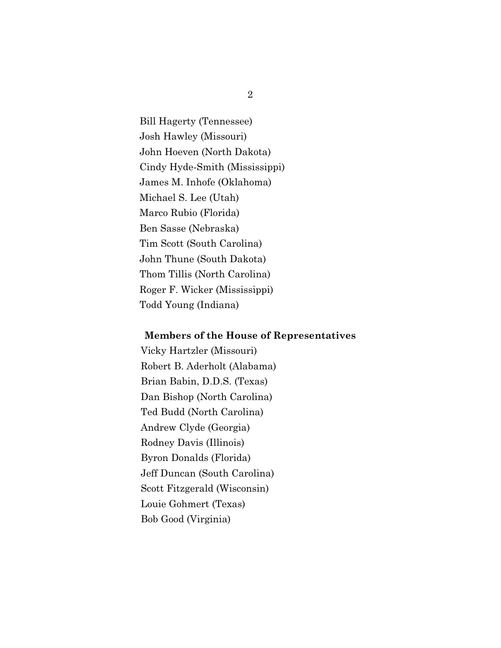Bill Hagerty (Tennessee) Josh Hawley (Missouri) John Hoeven (North Dakota) Cindy Hyde-Smith (Mississippi) James M. Inhofe (Oklahoma) Michael S. Lee (Utah) Marco Rubio (Florida) Ben Sasse (Nebraska) Tim Scott (South Carolina) John Thune (South Dakota) Thom Tillis (North Carolina) Roger F. Wicker (Mississippi) Todd Young (Indiana)

#### **Members of the House of Representatives**

Vicky Hartzler (Missouri) Robert B. Aderholt (Alabama) Brian Babin, D.D.S. (Texas) Dan Bishop (North Carolina) Ted Budd (North Carolina) Andrew Clyde (Georgia) Rodney Davis (Illinois) Byron Donalds (Florida) Jeff Duncan (South Carolina) Scott Fitzgerald (Wisconsin) Louie Gohmert (Texas) Bob Good (Virginia)

2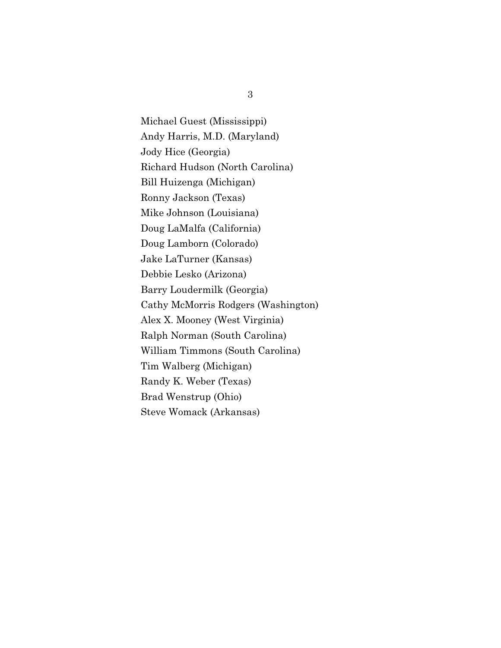Michael Guest (Mississippi) Andy Harris, M.D. (Maryland) Jody Hice (Georgia) Richard Hudson (North Carolina) Bill Huizenga (Michigan) Ronny Jackson (Texas) Mike Johnson (Louisiana) Doug LaMalfa (California) Doug Lamborn (Colorado) Jake LaTurner (Kansas) Debbie Lesko (Arizona) Barry Loudermilk (Georgia) Cathy McMorris Rodgers (Washington) Alex X. Mooney (West Virginia) Ralph Norman (South Carolina) William Timmons (South Carolina) Tim Walberg (Michigan) Randy K. Weber (Texas) Brad Wenstrup (Ohio) Steve Womack (Arkansas)

3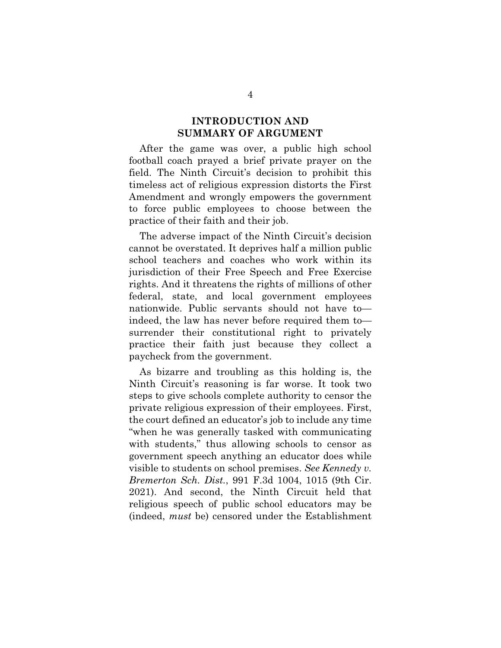#### **INTRODUCTION AND SUMMARY OF ARGUMENT**

After the game was over, a public high school football coach prayed a brief private prayer on the field. The Ninth Circuit's decision to prohibit this timeless act of religious expression distorts the First Amendment and wrongly empowers the government to force public employees to choose between the practice of their faith and their job.

The adverse impact of the Ninth Circuit's decision cannot be overstated. It deprives half a million public school teachers and coaches who work within its jurisdiction of their Free Speech and Free Exercise rights. And it threatens the rights of millions of other federal, state, and local government employees nationwide. Public servants should not have to indeed, the law has never before required them to surrender their constitutional right to privately practice their faith just because they collect a paycheck from the government.

As bizarre and troubling as this holding is, the Ninth Circuit's reasoning is far worse. It took two steps to give schools complete authority to censor the private religious expression of their employees. First, the court defined an educator's job to include any time "when he was generally tasked with communicating with students," thus allowing schools to censor as government speech anything an educator does while visible to students on school premises. *See Kennedy v. Bremerton Sch. Dist.*, 991 F.3d 1004, 1015 (9th Cir. 2021). And second, the Ninth Circuit held that religious speech of public school educators may be (indeed, *must* be) censored under the Establishment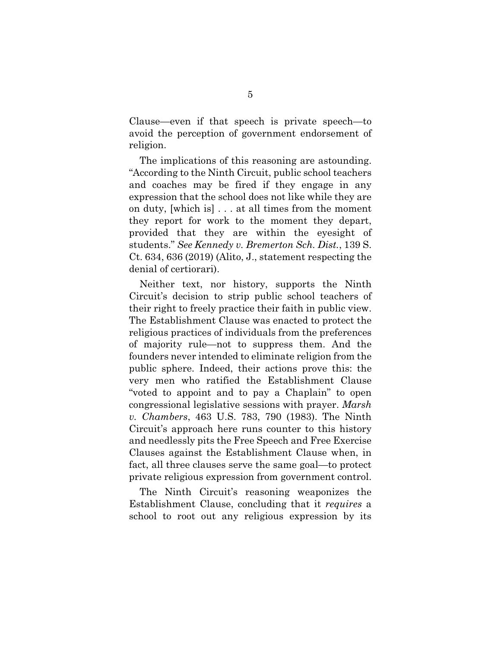Clause—even if that speech is private speech—to avoid the perception of government endorsement of religion.

The implications of this reasoning are astounding. "According to the Ninth Circuit, public school teachers and coaches may be fired if they engage in any expression that the school does not like while they are on duty, [which is] . . . at all times from the moment they report for work to the moment they depart, provided that they are within the eyesight of students." *See Kennedy v. Bremerton Sch. Dist.*, 139 S. Ct. 634, 636 (2019) (Alito, J., statement respecting the denial of certiorari).

Neither text, nor history, supports the Ninth Circuit's decision to strip public school teachers of their right to freely practice their faith in public view. The Establishment Clause was enacted to protect the religious practices of individuals from the preferences of majority rule—not to suppress them. And the founders never intended to eliminate religion from the public sphere. Indeed, their actions prove this: the very men who ratified the Establishment Clause "voted to appoint and to pay a Chaplain" to open congressional legislative sessions with prayer. *Marsh v. Chambers*, 463 U.S. 783, 790 (1983). The Ninth Circuit's approach here runs counter to this history and needlessly pits the Free Speech and Free Exercise Clauses against the Establishment Clause when, in fact, all three clauses serve the same goal—to protect private religious expression from government control.

The Ninth Circuit's reasoning weaponizes the Establishment Clause, concluding that it *requires* a school to root out any religious expression by its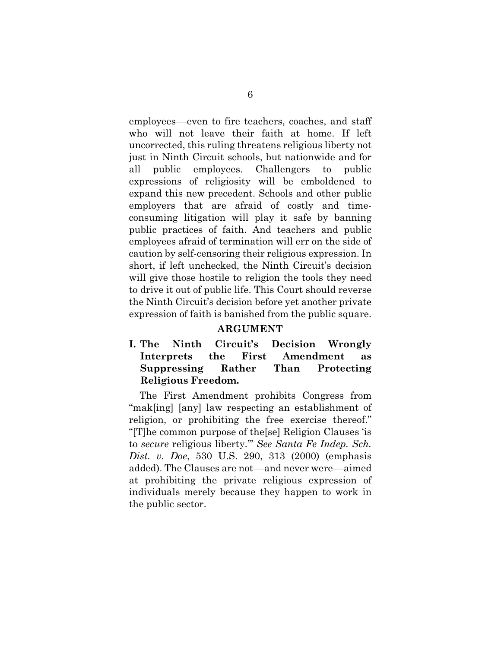employees––even to fire teachers, coaches, and staff who will not leave their faith at home. If left uncorrected, this ruling threatens religious liberty not just in Ninth Circuit schools, but nationwide and for all public employees. Challengers to public expressions of religiosity will be emboldened to expand this new precedent. Schools and other public employers that are afraid of costly and timeconsuming litigation will play it safe by banning public practices of faith. And teachers and public employees afraid of termination will err on the side of caution by self-censoring their religious expression. In short, if left unchecked, the Ninth Circuit's decision will give those hostile to religion the tools they need to drive it out of public life. This Court should reverse the Ninth Circuit's decision before yet another private expression of faith is banished from the public square.

#### **ARGUMENT**

### **I. The Ninth Circuit's Decision Wrongly Interprets the First Amendment as Suppressing Rather Than Protecting Religious Freedom.**

The First Amendment prohibits Congress from "mak[ing] [any] law respecting an establishment of religion, or prohibiting the free exercise thereof." "[T]he common purpose of the[se] Religion Clauses 'is to *secure* religious liberty.'" *See Santa Fe Indep. Sch. Dist. v. Doe*, 530 U.S. 290, 313 (2000) (emphasis added). The Clauses are not—and never were—aimed at prohibiting the private religious expression of individuals merely because they happen to work in the public sector.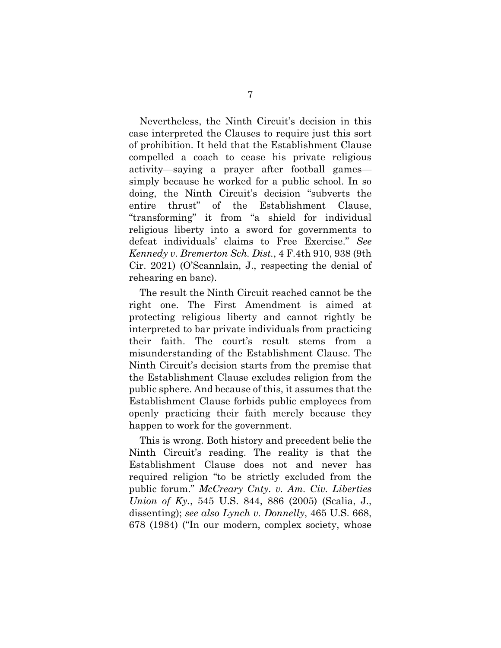Nevertheless, the Ninth Circuit's decision in this case interpreted the Clauses to require just this sort of prohibition. It held that the Establishment Clause compelled a coach to cease his private religious activity—saying a prayer after football games simply because he worked for a public school. In so doing, the Ninth Circuit's decision "subverts the entire thrust" of the Establishment Clause, "transforming" it from "a shield for individual religious liberty into a sword for governments to defeat individuals' claims to Free Exercise." *See Kennedy v. Bremerton Sch. Dist.*, 4 F.4th 910, 938 (9th Cir. 2021) (O'Scannlain, J., respecting the denial of rehearing en banc).

The result the Ninth Circuit reached cannot be the right one. The First Amendment is aimed at protecting religious liberty and cannot rightly be interpreted to bar private individuals from practicing their faith. The court's result stems from a misunderstanding of the Establishment Clause. The Ninth Circuit's decision starts from the premise that the Establishment Clause excludes religion from the public sphere. And because of this, it assumes that the Establishment Clause forbids public employees from openly practicing their faith merely because they happen to work for the government.

This is wrong. Both history and precedent belie the Ninth Circuit's reading. The reality is that the Establishment Clause does not and never has required religion "to be strictly excluded from the public forum." *McCreary Cnty. v. Am. Civ. Liberties Union of Ky.*, 545 U.S. 844, 886 (2005) (Scalia, J., dissenting); *see also Lynch v. Donnelly*, 465 U.S. 668, 678 (1984) ("In our modern, complex society, whose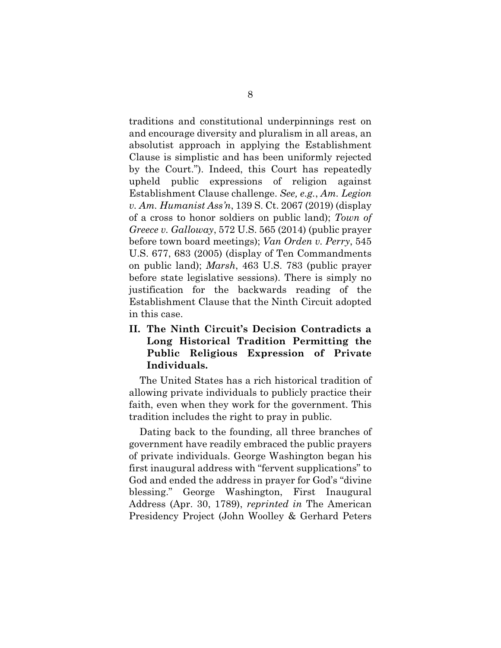traditions and constitutional underpinnings rest on and encourage diversity and pluralism in all areas, an absolutist approach in applying the Establishment Clause is simplistic and has been uniformly rejected by the Court."). Indeed, this Court has repeatedly upheld public expressions of religion against Establishment Clause challenge. *See, e.g.*, *Am. Legion v. Am. Humanist Ass'n*, 139 S. Ct. 2067 (2019) (display of a cross to honor soldiers on public land); *Town of Greece v. Galloway*, 572 U.S. 565 (2014) (public prayer before town board meetings); *Van Orden v. Perry*, 545 U.S. 677, 683 (2005) (display of Ten Commandments on public land); *Marsh*, 463 U.S. 783 (public prayer before state legislative sessions). There is simply no justification for the backwards reading of the Establishment Clause that the Ninth Circuit adopted in this case.

### **II. The Ninth Circuit's Decision Contradicts a Long Historical Tradition Permitting the Public Religious Expression of Private Individuals.**

The United States has a rich historical tradition of allowing private individuals to publicly practice their faith, even when they work for the government. This tradition includes the right to pray in public.

Dating back to the founding, all three branches of government have readily embraced the public prayers of private individuals. George Washington began his first inaugural address with "fervent supplications" to God and ended the address in prayer for God's "divine blessing." George Washington, First Inaugural Address (Apr. 30, 1789), *reprinted in* The American Presidency Project (John Woolley & Gerhard Peters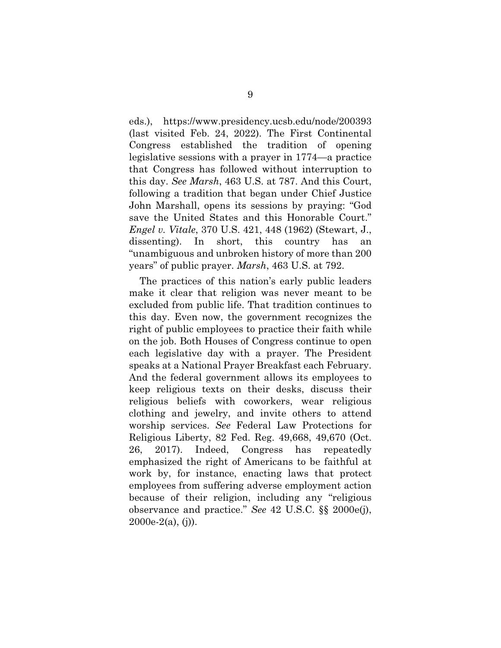eds.), https://www.presidency.ucsb.edu/node/200393 (last visited Feb. 24, 2022). The First Continental Congress established the tradition of opening legislative sessions with a prayer in 1774—a practice that Congress has followed without interruption to this day. *See Marsh*, 463 U.S. at 787. And this Court, following a tradition that began under Chief Justice John Marshall, opens its sessions by praying: "God save the United States and this Honorable Court." *Engel v. Vitale*, 370 U.S. 421, 448 (1962) (Stewart, J., dissenting). In short, this country has an "unambiguous and unbroken history of more than 200 years" of public prayer. *Marsh*, 463 U.S. at 792.

The practices of this nation's early public leaders make it clear that religion was never meant to be excluded from public life. That tradition continues to this day. Even now, the government recognizes the right of public employees to practice their faith while on the job. Both Houses of Congress continue to open each legislative day with a prayer. The President speaks at a National Prayer Breakfast each February. And the federal government allows its employees to keep religious texts on their desks, discuss their religious beliefs with coworkers, wear religious clothing and jewelry, and invite others to attend worship services. *See* Federal Law Protections for Religious Liberty, 82 Fed. Reg. 49,668, 49,670 (Oct. 26, 2017). Indeed, Congress has repeatedly emphasized the right of Americans to be faithful at work by, for instance, enacting laws that protect employees from suffering adverse employment action because of their religion, including any "religious observance and practice." *See* 42 U.S.C. §§ 2000e(j), 2000e-2(a), (j)).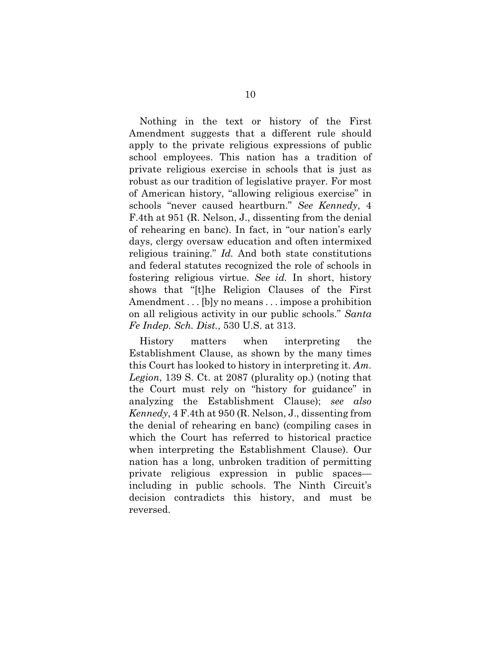Nothing in the text or history of the First Amendment suggests that a different rule should apply to the private religious expressions of public school employees. This nation has a tradition of private religious exercise in schools that is just as robust as our tradition of legislative prayer. For most of American history, "allowing religious exercise" in schools "never caused heartburn." *See Kennedy*, 4 F.4th at 951 (R. Nelson, J., dissenting from the denial of rehearing en banc). In fact, in "our nation's early days, clergy oversaw education and often intermixed religious training." *Id.* And both state constitutions and federal statutes recognized the role of schools in fostering religious virtue. *See id.* In short, history shows that "[t]he Religion Clauses of the First Amendment . . . [b]y no means . . . impose a prohibition on all religious activity in our public schools." *Santa Fe Indep. Sch. Dist.*, 530 U.S. at 313.

History matters when interpreting the Establishment Clause, as shown by the many times this Court has looked to history in interpreting it. *Am. Legion*, 139 S. Ct. at 2087 (plurality op.) (noting that the Court must rely on "history for guidance" in analyzing the Establishment Clause); *see also Kennedy*, 4 F.4th at 950 (R. Nelson, J., dissenting from the denial of rehearing en banc) (compiling cases in which the Court has referred to historical practice when interpreting the Establishment Clause). Our nation has a long, unbroken tradition of permitting private religious expression in public spaces including in public schools. The Ninth Circuit's decision contradicts this history, and must be reversed.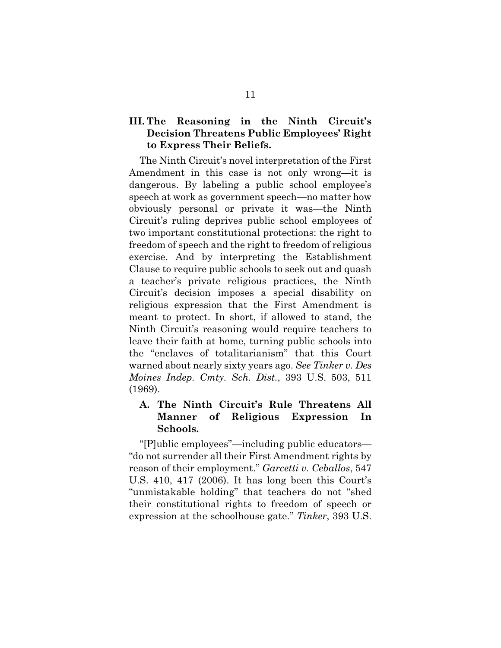#### **III. The Reasoning in the Ninth Circuit's Decision Threatens Public Employees' Right to Express Their Beliefs.**

The Ninth Circuit's novel interpretation of the First Amendment in this case is not only wrong—it is dangerous. By labeling a public school employee's speech at work as government speech—no matter how obviously personal or private it was—the Ninth Circuit's ruling deprives public school employees of two important constitutional protections: the right to freedom of speech and the right to freedom of religious exercise. And by interpreting the Establishment Clause to require public schools to seek out and quash a teacher's private religious practices, the Ninth Circuit's decision imposes a special disability on religious expression that the First Amendment is meant to protect. In short, if allowed to stand, the Ninth Circuit's reasoning would require teachers to leave their faith at home, turning public schools into the "enclaves of totalitarianism" that this Court warned about nearly sixty years ago. *See Tinker v. Des Moines Indep. Cmty. Sch. Dist.*, 393 U.S. 503, 511 (1969).

#### **A. The Ninth Circuit's Rule Threatens All Manner of Religious Expression In Schools.**

"[P]ublic employees"—including public educators— "do not surrender all their First Amendment rights by reason of their employment." *Garcetti v. Ceballos*, 547 U.S. 410, 417 (2006). It has long been this Court's "unmistakable holding" that teachers do not "shed their constitutional rights to freedom of speech or expression at the schoolhouse gate." *Tinker*, 393 U.S.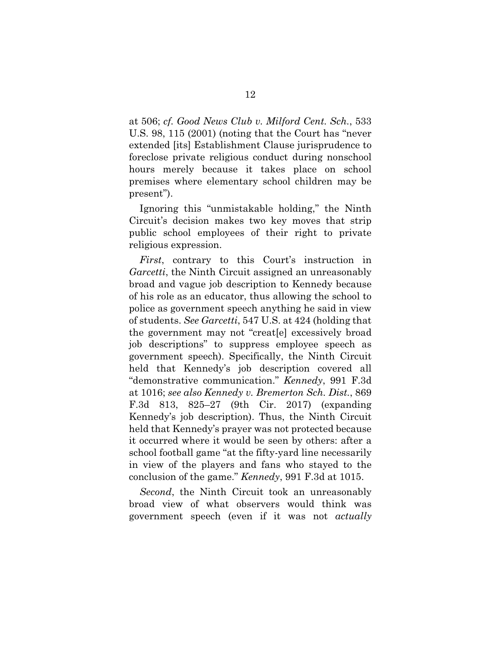at 506; *cf. Good News Club v. Milford Cent. Sch.*, 533 U.S. 98, 115 (2001) (noting that the Court has "never extended [its] Establishment Clause jurisprudence to foreclose private religious conduct during nonschool hours merely because it takes place on school premises where elementary school children may be present").

Ignoring this "unmistakable holding," the Ninth Circuit's decision makes two key moves that strip public school employees of their right to private religious expression.

*First*, contrary to this Court's instruction in *Garcetti*, the Ninth Circuit assigned an unreasonably broad and vague job description to Kennedy because of his role as an educator, thus allowing the school to police as government speech anything he said in view of students. *See Garcetti*, 547 U.S. at 424 (holding that the government may not "creat[e] excessively broad job descriptions" to suppress employee speech as government speech). Specifically, the Ninth Circuit held that Kennedy's job description covered all "demonstrative communication." *Kennedy*, 991 F.3d at 1016; *see also Kennedy v. Bremerton Sch. Dist.*, 869 F.3d 813, 825–27 (9th Cir. 2017) (expanding Kennedy's job description). Thus, the Ninth Circuit held that Kennedy's prayer was not protected because it occurred where it would be seen by others: after a school football game "at the fifty-yard line necessarily in view of the players and fans who stayed to the conclusion of the game." *Kennedy*, 991 F.3d at 1015.

*Second*, the Ninth Circuit took an unreasonably broad view of what observers would think was government speech (even if it was not *actually*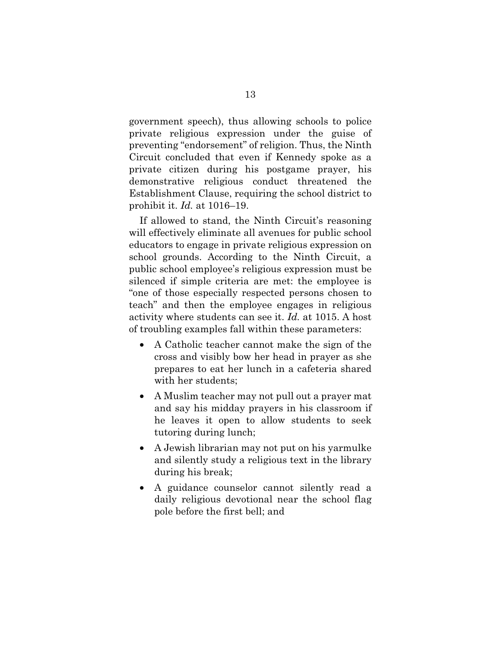government speech), thus allowing schools to police private religious expression under the guise of preventing "endorsement" of religion. Thus, the Ninth Circuit concluded that even if Kennedy spoke as a private citizen during his postgame prayer, his demonstrative religious conduct threatened the Establishment Clause, requiring the school district to prohibit it. *Id.* at 1016–19.

If allowed to stand, the Ninth Circuit's reasoning will effectively eliminate all avenues for public school educators to engage in private religious expression on school grounds. According to the Ninth Circuit, a public school employee's religious expression must be silenced if simple criteria are met: the employee is "one of those especially respected persons chosen to teach" and then the employee engages in religious activity where students can see it. *Id.* at 1015. A host of troubling examples fall within these parameters:

- A Catholic teacher cannot make the sign of the cross and visibly bow her head in prayer as she prepares to eat her lunch in a cafeteria shared with her students;
- A Muslim teacher may not pull out a prayer mat and say his midday prayers in his classroom if he leaves it open to allow students to seek tutoring during lunch;
- A Jewish librarian may not put on his yarmulke and silently study a religious text in the library during his break;
- A guidance counselor cannot silently read a daily religious devotional near the school flag pole before the first bell; and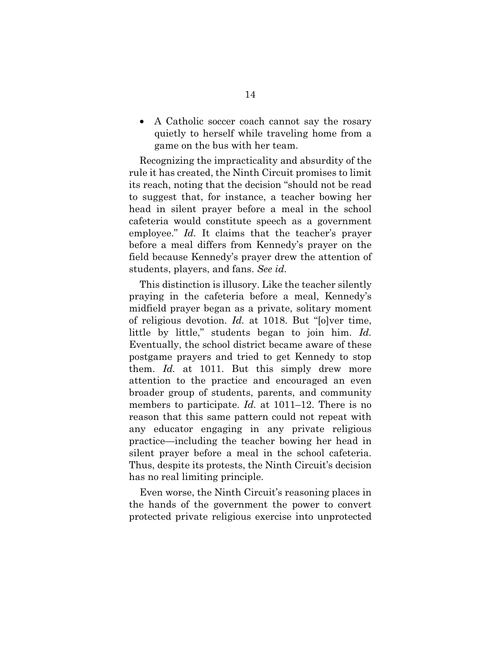• A Catholic soccer coach cannot say the rosary quietly to herself while traveling home from a game on the bus with her team.

Recognizing the impracticality and absurdity of the rule it has created, the Ninth Circuit promises to limit its reach, noting that the decision "should not be read to suggest that, for instance, a teacher bowing her head in silent prayer before a meal in the school cafeteria would constitute speech as a government employee." *Id.* It claims that the teacher's prayer before a meal differs from Kennedy's prayer on the field because Kennedy's prayer drew the attention of students, players, and fans. *See id.*

This distinction is illusory. Like the teacher silently praying in the cafeteria before a meal, Kennedy's midfield prayer began as a private, solitary moment of religious devotion. *Id.* at 1018. But "[o]ver time, little by little," students began to join him. *Id.* Eventually, the school district became aware of these postgame prayers and tried to get Kennedy to stop them. *Id.* at 1011. But this simply drew more attention to the practice and encouraged an even broader group of students, parents, and community members to participate. *Id.* at 1011–12. There is no reason that this same pattern could not repeat with any educator engaging in any private religious practice—including the teacher bowing her head in silent prayer before a meal in the school cafeteria. Thus, despite its protests, the Ninth Circuit's decision has no real limiting principle.

Even worse, the Ninth Circuit's reasoning places in the hands of the government the power to convert protected private religious exercise into unprotected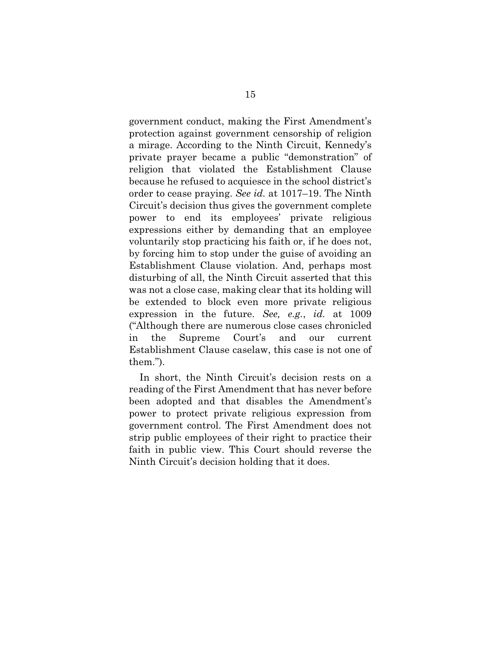government conduct, making the First Amendment's protection against government censorship of religion a mirage. According to the Ninth Circuit, Kennedy's private prayer became a public "demonstration" of religion that violated the Establishment Clause because he refused to acquiesce in the school district's order to cease praying. *See id.* at 1017–19. The Ninth Circuit's decision thus gives the government complete power to end its employees' private religious expressions either by demanding that an employee voluntarily stop practicing his faith or, if he does not, by forcing him to stop under the guise of avoiding an Establishment Clause violation. And, perhaps most disturbing of all, the Ninth Circuit asserted that this was not a close case, making clear that its holding will be extended to block even more private religious expression in the future. *See, e.g.*, *id.* at 1009 ("Although there are numerous close cases chronicled in the Supreme Court's and our current Establishment Clause caselaw, this case is not one of them.").

In short, the Ninth Circuit's decision rests on a reading of the First Amendment that has never before been adopted and that disables the Amendment's power to protect private religious expression from government control. The First Amendment does not strip public employees of their right to practice their faith in public view. This Court should reverse the Ninth Circuit's decision holding that it does.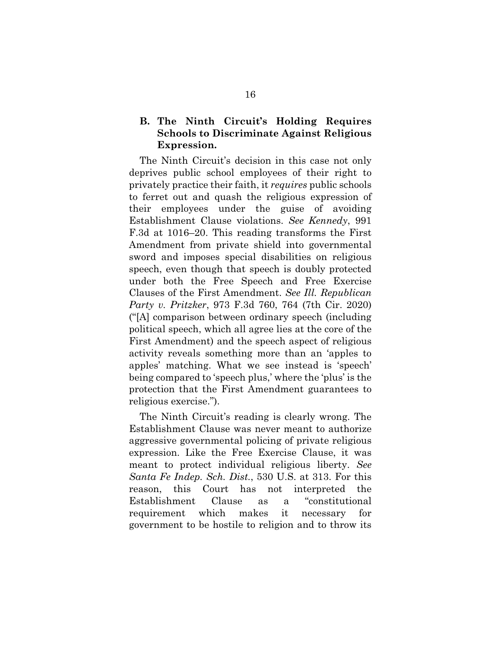### **B. The Ninth Circuit's Holding Requires Schools to Discriminate Against Religious Expression.**

The Ninth Circuit's decision in this case not only deprives public school employees of their right to privately practice their faith, it *requires* public schools to ferret out and quash the religious expression of their employees under the guise of avoiding Establishment Clause violations. *See Kennedy*, 991 F.3d at 1016–20. This reading transforms the First Amendment from private shield into governmental sword and imposes special disabilities on religious speech, even though that speech is doubly protected under both the Free Speech and Free Exercise Clauses of the First Amendment. *See Ill. Republican Party v. Pritzker*, 973 F.3d 760, 764 (7th Cir. 2020) ("[A] comparison between ordinary speech (including political speech, which all agree lies at the core of the First Amendment) and the speech aspect of religious activity reveals something more than an 'apples to apples' matching. What we see instead is 'speech' being compared to 'speech plus,' where the 'plus' is the protection that the First Amendment guarantees to religious exercise.").

The Ninth Circuit's reading is clearly wrong. The Establishment Clause was never meant to authorize aggressive governmental policing of private religious expression. Like the Free Exercise Clause, it was meant to protect individual religious liberty. *See Santa Fe Indep. Sch. Dist.*, 530 U.S. at 313. For this reason, this Court has not interpreted the Establishment Clause as a "constitutional requirement which makes it necessary for government to be hostile to religion and to throw its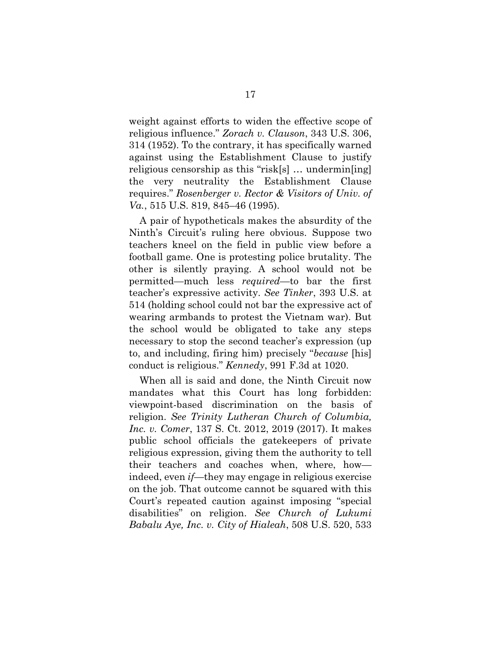weight against efforts to widen the effective scope of religious influence." *Zorach v. Clauson*, 343 U.S. 306, 314 (1952). To the contrary, it has specifically warned against using the Establishment Clause to justify religious censorship as this "risk[s] … undermin[ing] the very neutrality the Establishment Clause requires." *Rosenberger v. Rector & Visitors of Univ. of Va.*, 515 U.S. 819, 845–46 (1995).

A pair of hypotheticals makes the absurdity of the Ninth's Circuit's ruling here obvious. Suppose two teachers kneel on the field in public view before a football game. One is protesting police brutality. The other is silently praying. A school would not be permitted—much less *required*—to bar the first teacher's expressive activity. *See Tinker*, 393 U.S. at 514 (holding school could not bar the expressive act of wearing armbands to protest the Vietnam war). But the school would be obligated to take any steps necessary to stop the second teacher's expression (up to, and including, firing him) precisely "*because* [his] conduct is religious." *Kennedy*, 991 F.3d at 1020.

When all is said and done, the Ninth Circuit now mandates what this Court has long forbidden: viewpoint-based discrimination on the basis of religion. *See Trinity Lutheran Church of Columbia, Inc. v. Comer*, 137 S. Ct. 2012, 2019 (2017). It makes public school officials the gatekeepers of private religious expression, giving them the authority to tell their teachers and coaches when, where, how indeed, even *if*—they may engage in religious exercise on the job. That outcome cannot be squared with this Court's repeated caution against imposing "special disabilities" on religion. *See Church of Lukumi Babalu Aye, Inc. v. City of Hialeah*, 508 U.S. 520, 533